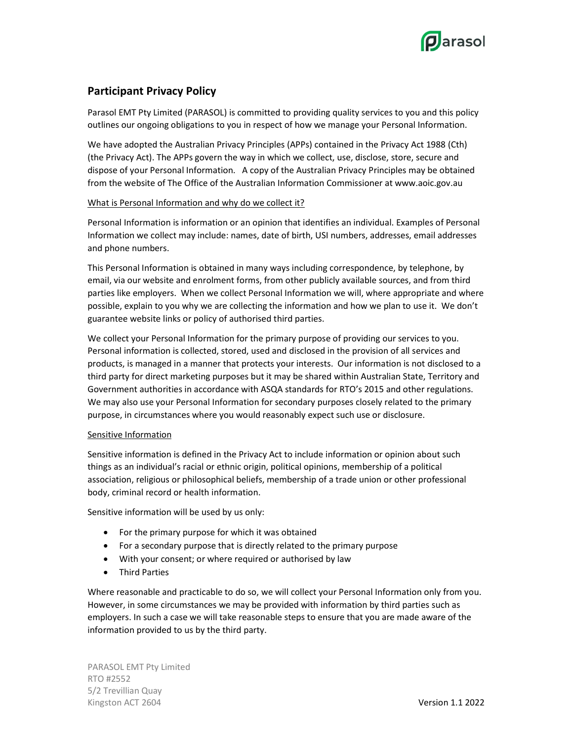

# Participant Privacy Policy

Parasol EMT Pty Limited (PARASOL) is committed to providing quality services to you and this policy outlines our ongoing obligations to you in respect of how we manage your Personal Information.

We have adopted the Australian Privacy Principles (APPs) contained in the Privacy Act 1988 (Cth) (the Privacy Act). The APPs govern the way in which we collect, use, disclose, store, secure and dispose of your Personal Information. A copy of the Australian Privacy Principles may be obtained from the website of The Office of the Australian Information Commissioner at www.aoic.gov.au

## What is Personal Information and why do we collect it?

Personal Information is information or an opinion that identifies an individual. Examples of Personal Information we collect may include: names, date of birth, USI numbers, addresses, email addresses and phone numbers.

This Personal Information is obtained in many ways including correspondence, by telephone, by email, via our website and enrolment forms, from other publicly available sources, and from third parties like employers. When we collect Personal Information we will, where appropriate and where possible, explain to you why we are collecting the information and how we plan to use it. We don't guarantee website links or policy of authorised third parties.

We collect your Personal Information for the primary purpose of providing our services to you. Personal information is collected, stored, used and disclosed in the provision of all services and products, is managed in a manner that protects your interests. Our information is not disclosed to a third party for direct marketing purposes but it may be shared within Australian State, Territory and Government authorities in accordance with ASQA standards for RTO's 2015 and other regulations. We may also use your Personal Information for secondary purposes closely related to the primary purpose, in circumstances where you would reasonably expect such use or disclosure.

## Sensitive Information

Sensitive information is defined in the Privacy Act to include information or opinion about such things as an individual's racial or ethnic origin, political opinions, membership of a political association, religious or philosophical beliefs, membership of a trade union or other professional body, criminal record or health information.

Sensitive information will be used by us only:

- For the primary purpose for which it was obtained
- For a secondary purpose that is directly related to the primary purpose
- With your consent; or where required or authorised by law
- **•** Third Parties

Where reasonable and practicable to do so, we will collect your Personal Information only from you. However, in some circumstances we may be provided with information by third parties such as employers. In such a case we will take reasonable steps to ensure that you are made aware of the information provided to us by the third party.